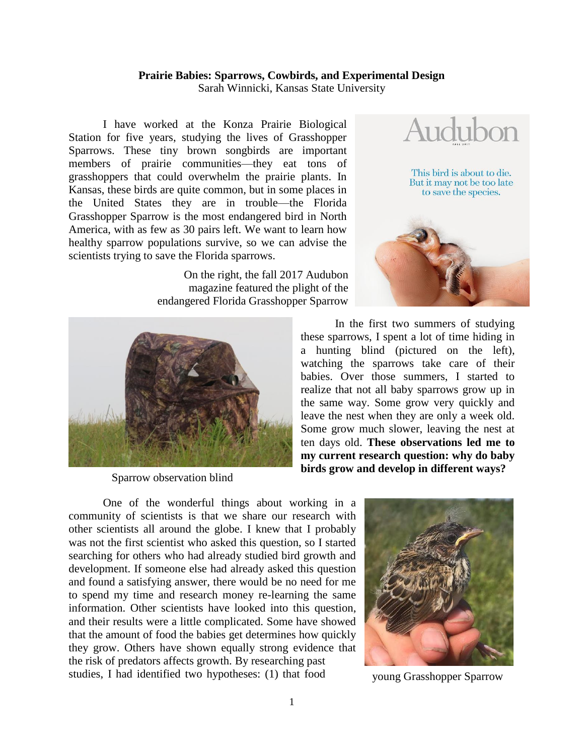## **Prairie Babies: Sparrows, Cowbirds, and Experimental Design**

Sarah Winnicki, Kansas State University

I have worked at the Konza Prairie Biological Station for five years, studying the lives of Grasshopper Sparrows. These tiny brown songbirds are important members of prairie communities—they eat tons of grasshoppers that could overwhelm the prairie plants. In Kansas, these birds are quite common, but in some places in the United States they are in trouble—the Florida Grasshopper Sparrow is the most endangered bird in North America, with as few as 30 pairs left. We want to learn how healthy sparrow populations survive, so we can advise the scientists trying to save the Florida sparrows.

> On the right, the fall 2017 Audubon magazine featured the plight of the endangered Florida Grasshopper Sparrow



Sparrow observation blind



In the first two summers of studying these sparrows, I spent a lot of time hiding in a hunting blind (pictured on the left), watching the sparrows take care of their babies. Over those summers, I started to realize that not all baby sparrows grow up in the same way. Some grow very quickly and leave the nest when they are only a week old. Some grow much slower, leaving the nest at ten days old. **These observations led me to my current research question: why do baby birds grow and develop in different ways?**

One of the wonderful things about working in a community of scientists is that we share our research with other scientists all around the globe. I knew that I probably was not the first scientist who asked this question, so I started searching for others who had already studied bird growth and development. If someone else had already asked this question and found a satisfying answer, there would be no need for me to spend my time and research money re-learning the same information. Other scientists have looked into this question, and their results were a little complicated. Some have showed that the amount of food the babies get determines how quickly they grow. Others have shown equally strong evidence that the risk of predators affects growth. By researching past studies, I had identified two hypotheses: (1) that food



young Grasshopper Sparrow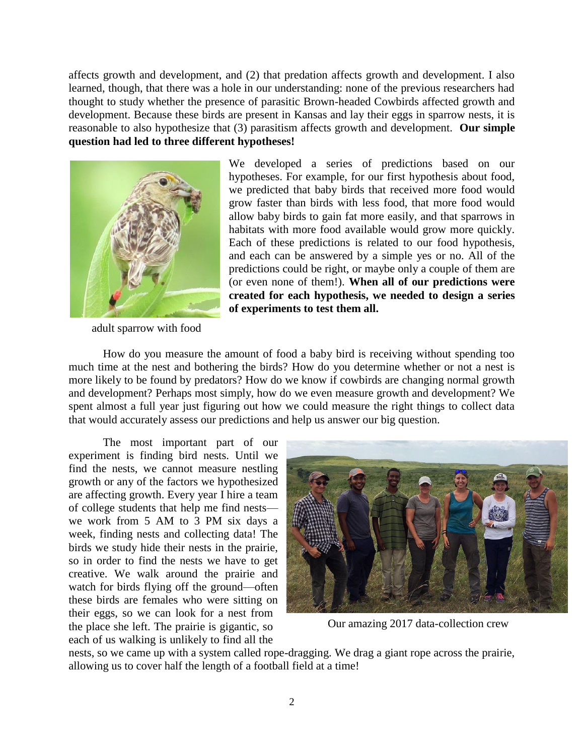affects growth and development, and (2) that predation affects growth and development. I also learned, though, that there was a hole in our understanding: none of the previous researchers had thought to study whether the presence of parasitic Brown-headed Cowbirds affected growth and development. Because these birds are present in Kansas and lay their eggs in sparrow nests, it is reasonable to also hypothesize that (3) parasitism affects growth and development. **Our simple question had led to three different hypotheses!**



adult sparrow with food

We developed a series of predictions based on our hypotheses. For example, for our first hypothesis about food, we predicted that baby birds that received more food would grow faster than birds with less food, that more food would allow baby birds to gain fat more easily, and that sparrows in habitats with more food available would grow more quickly. Each of these predictions is related to our food hypothesis, and each can be answered by a simple yes or no. All of the predictions could be right, or maybe only a couple of them are (or even none of them!). **When all of our predictions were created for each hypothesis, we needed to design a series of experiments to test them all.**

How do you measure the amount of food a baby bird is receiving without spending too much time at the nest and bothering the birds? How do you determine whether or not a nest is more likely to be found by predators? How do we know if cowbirds are changing normal growth and development? Perhaps most simply, how do we even measure growth and development? We spent almost a full year just figuring out how we could measure the right things to collect data that would accurately assess our predictions and help us answer our big question.

The most important part of our experiment is finding bird nests. Until we find the nests, we cannot measure nestling growth or any of the factors we hypothesized are affecting growth. Every year I hire a team of college students that help me find nests we work from 5 AM to 3 PM six days a week, finding nests and collecting data! The birds we study hide their nests in the prairie, so in order to find the nests we have to get creative. We walk around the prairie and watch for birds flying off the ground—often these birds are females who were sitting on their eggs, so we can look for a nest from the place she left. The prairie is gigantic, so each of us walking is unlikely to find all the



Our amazing 2017 data-collection crew

nests, so we came up with a system called rope-dragging. We drag a giant rope across the prairie, allowing us to cover half the length of a football field at a time!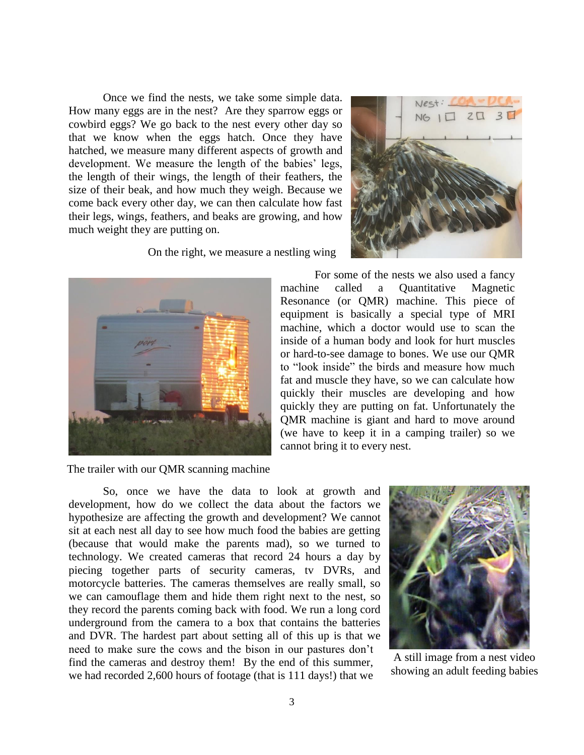Once we find the nests, we take some simple data. How many eggs are in the nest? Are they sparrow eggs or cowbird eggs? We go back to the nest every other day so that we know when the eggs hatch. Once they have hatched, we measure many different aspects of growth and development. We measure the length of the babies' legs, the length of their wings, the length of their feathers, the size of their beak, and how much they weigh. Because we come back every other day, we can then calculate how fast their legs, wings, feathers, and beaks are growing, and how much weight they are putting on.

On the right, we measure a nestling wing



The trailer with our QMR scanning machine



For some of the nests we also used a fancy machine called a Quantitative Magnetic Resonance (or QMR) machine. This piece of equipment is basically a special type of MRI machine, which a doctor would use to scan the inside of a human body and look for hurt muscles or hard-to-see damage to bones. We use our QMR to "look inside" the birds and measure how much fat and muscle they have, so we can calculate how quickly their muscles are developing and how quickly they are putting on fat. Unfortunately the QMR machine is giant and hard to move around (we have to keep it in a camping trailer) so we cannot bring it to every nest.

So, once we have the data to look at growth and development, how do we collect the data about the factors we hypothesize are affecting the growth and development? We cannot sit at each nest all day to see how much food the babies are getting (because that would make the parents mad), so we turned to technology. We created cameras that record 24 hours a day by piecing together parts of security cameras, tv DVRs, and motorcycle batteries. The cameras themselves are really small, so we can camouflage them and hide them right next to the nest, so they record the parents coming back with food. We run a long cord underground from the camera to a box that contains the batteries and DVR. The hardest part about setting all of this up is that we need to make sure the cows and the bison in our pastures don't find the cameras and destroy them! By the end of this summer, we had recorded 2,600 hours of footage (that is 111 days!) that we



A still image from a nest video showing an adult feeding babies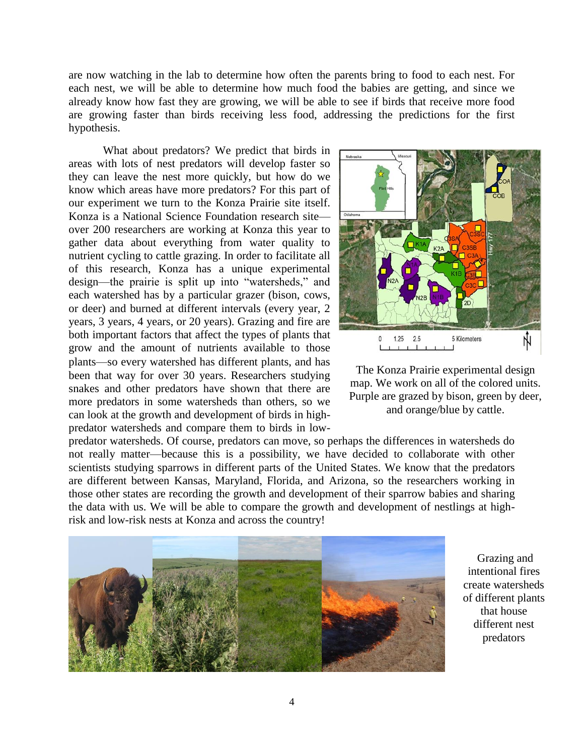are now watching in the lab to determine how often the parents bring to food to each nest. For each nest, we will be able to determine how much food the babies are getting, and since we already know how fast they are growing, we will be able to see if birds that receive more food are growing faster than birds receiving less food, addressing the predictions for the first hypothesis.

What about predators? We predict that birds in areas with lots of nest predators will develop faster so they can leave the nest more quickly, but how do we know which areas have more predators? For this part of our experiment we turn to the Konza Prairie site itself. Konza is a National Science Foundation research site over 200 researchers are working at Konza this year to gather data about everything from water quality to nutrient cycling to cattle grazing. In order to facilitate all of this research, Konza has a unique experimental design—the prairie is split up into "watersheds," and each watershed has by a particular grazer (bison, cows, or deer) and burned at different intervals (every year, 2 years, 3 years, 4 years, or 20 years). Grazing and fire are both important factors that affect the types of plants that grow and the amount of nutrients available to those plants—so every watershed has different plants, and has been that way for over 30 years. Researchers studying snakes and other predators have shown that there are more predators in some watersheds than others, so we can look at the growth and development of birds in highpredator watersheds and compare them to birds in low-



The Konza Prairie experimental design map. We work on all of the colored units. Purple are grazed by bison, green by deer, and orange/blue by cattle.

predator watersheds. Of course, predators can move, so perhaps the differences in watersheds do not really matter—because this is a possibility, we have decided to collaborate with other scientists studying sparrows in different parts of the United States. We know that the predators are different between Kansas, Maryland, Florida, and Arizona, so the researchers working in those other states are recording the growth and development of their sparrow babies and sharing the data with us. We will be able to compare the growth and development of nestlings at highrisk and low-risk nests at Konza and across the country!



Grazing and intentional fires create watersheds of different plants that house different nest predators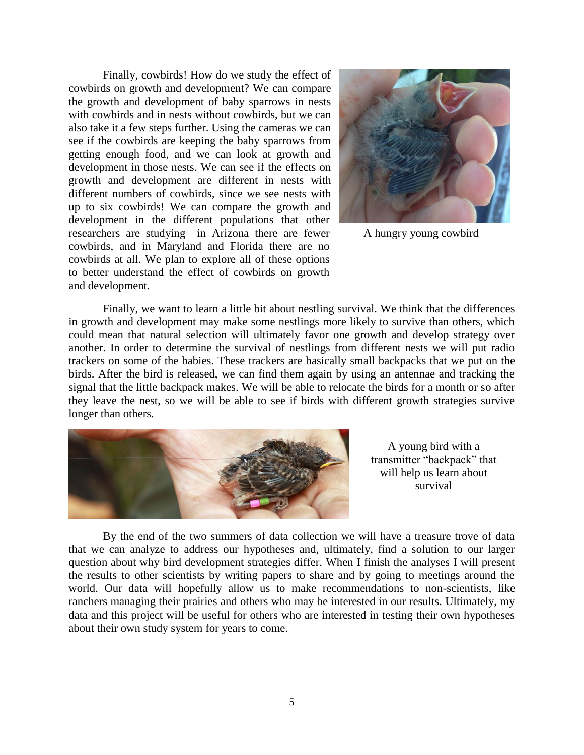Finally, cowbirds! How do we study the effect of cowbirds on growth and development? We can compare the growth and development of baby sparrows in nests with cowbirds and in nests without cowbirds, but we can also take it a few steps further. Using the cameras we can see if the cowbirds are keeping the baby sparrows from getting enough food, and we can look at growth and development in those nests. We can see if the effects on growth and development are different in nests with different numbers of cowbirds, since we see nests with up to six cowbirds! We can compare the growth and development in the different populations that other researchers are studying—in Arizona there are fewer cowbirds, and in Maryland and Florida there are no cowbirds at all. We plan to explore all of these options to better understand the effect of cowbirds on growth and development.



A hungry young cowbird

Finally, we want to learn a little bit about nestling survival. We think that the differences in growth and development may make some nestlings more likely to survive than others, which could mean that natural selection will ultimately favor one growth and develop strategy over another. In order to determine the survival of nestlings from different nests we will put radio trackers on some of the babies. These trackers are basically small backpacks that we put on the birds. After the bird is released, we can find them again by using an antennae and tracking the signal that the little backpack makes. We will be able to relocate the birds for a month or so after they leave the nest, so we will be able to see if birds with different growth strategies survive longer than others.



A young bird with a transmitter "backpack" that will help us learn about survival

By the end of the two summers of data collection we will have a treasure trove of data that we can analyze to address our hypotheses and, ultimately, find a solution to our larger question about why bird development strategies differ. When I finish the analyses I will present the results to other scientists by writing papers to share and by going to meetings around the world. Our data will hopefully allow us to make recommendations to non-scientists, like ranchers managing their prairies and others who may be interested in our results. Ultimately, my data and this project will be useful for others who are interested in testing their own hypotheses about their own study system for years to come.